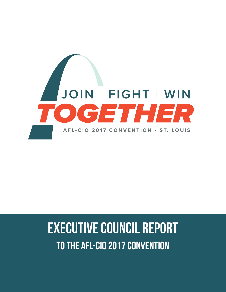

# Executive council report to the AFL-CIO 2017 convention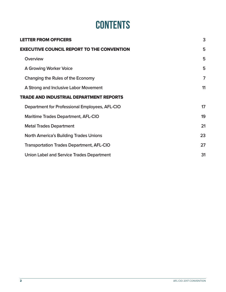# **CONTENTS**

| <b>LETTER FROM OFFICERS</b>                       | 3  |
|---------------------------------------------------|----|
| <b>EXECUTIVE COUNCIL REPORT TO THE CONVENTION</b> | 5  |
| Overview                                          | 5  |
| <b>A Growing Worker Voice</b>                     | 5  |
| Changing the Rules of the Economy                 | 7  |
| A Strong and Inclusive Labor Movement             | 11 |
| <b>TRADE AND INDUSTRIAL DEPARTMENT REPORTS</b>    |    |
| Department for Professional Employees, AFL-CIO    | 17 |
| <b>Maritime Trades Department, AFL-CIO</b>        | 19 |
| <b>Metal Trades Department</b>                    | 21 |
| <b>North America's Building Trades Unions</b>     | 23 |
| <b>Transportation Trades Department, AFL-CIO</b>  | 27 |
| Union Label and Service Trades Department         | 31 |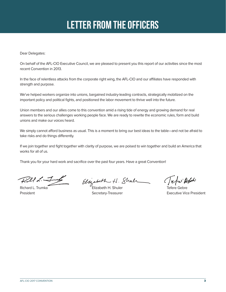# Letter from the officers

Dear Delegates:

On behalf of the AFL-CIO Executive Council, we are pleased to present you this report of our activities since the most recent Convention in 2013.

In the face of relentless attacks from the corporate right wing, the AFL-CIO and our affiliates have responded with strength and purpose.

We've helped workers organize into unions, bargained industry-leading contracts, strategically mobilized on the important policy and political fights, and positioned the labor movement to thrive well into the future.

Union members and our allies come to this convention amid a rising tide of energy and growing demand for real answers to the serious challenges working people face. We are ready to rewrite the economic rules, form and build unions and make our voices heard.

We simply cannot afford business as usual. This is a moment to bring our best ideas to the table—and not be afraid to take risks and do things differently.

If we join together and fight together with clarity of purpose, we are poised to win together and build an America that works for all of us.

Thank you for your hard work and sacrifice over the past four years. Have a great Convention!

 $Llld$ .

 $\frac{2}{\pi}$  Elizabeth H. Shull (elizabeth H. Shull)

Jefu Ath

President **Secretary-Treasurer Executive Vice President Secretary-Treasurer Executive Vice President**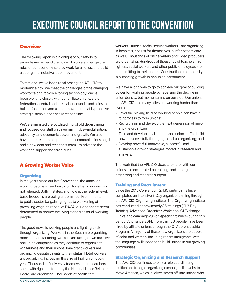# EXECUTIVE COUNCIL REPORT TO THE CONVENTION

# **Overview**

The following report is a highlight of our efforts to promote and expand the voice of workers, change the rules of our economy so they work for all of us, and build a strong and inclusive labor movement.

To that end, we've been recalibrating the AFL-CIO to modernize how we meet the challenges of the changing workforce and rapidly evolving technology. We've been working closely with our affiliate unions, state federations, central and area labor councils and allies to build a federation and a labor movement that is proactive, strategic, nimble and fiscally responsible.

We've eliminated the outdated mix of old departments and focused our staff on three main hubs—mobilization, advocacy, and economic power and growth. We also have three resource departments—communications, legal and a new data and tech tools team—to advance the work and support the three hubs.

# A Growing Worker Voice

# **Organizing**

In the years since our last Convention, the attack on working people's freedom to join together in unions has not relented. Both in states, and now at the federal level, basic freedoms are being undermined. From threats to public-sector bargaining rights, to weakening of prevailing wage, to repeal of DACA, our opponents seem determined to reduce the living standards for all working people.

The good news is working people are fighting back through organizing. Workers in the South are organizing more. In manufacturing, workers are facing down massive anti-union campaigns as they continue to organize to win fairness and their unions. Immigrant workers are organizing despite threats to their status. Hotel workers are organizing, increasing the size of their union every year. Thousands of university teachers and researchers, some with rights restored by the National Labor Relations Board, are organizing. Thousands of health care

workers—nurses, techs, service workers—are organizing in hospitals, not just for themselves, but for patient care as well. Thousands of online writers and video producers are organizing. Hundreds of thousands of teachers, fire fighters, social workers and other public employees are recommitting to their unions. Construction union density is outpacing growth in nonunion construction.

We have a long way to go to achieve our goal of building power for working people by reversing the decline in union density, but momentum is on our side. Our unions, the AFL-CIO and many allies are working harder than ever to:

- Level the playing field so working people can have a fair process to form unions;
- Recruit, train and develop the next generation of rankand-file organizers;
- Train and develop local leaders and union staff to build power successfully through ground-up organizing; and
- Develop powerful, innovative, successful and sustainable growth strategies rooted in research and analysis.

The work that the AFL-CIO does to partner with our unions is concentrated on training, and strategic organizing and research support.

# Training and Recruitment

Since the 2013 Convention, 2,435 participants have completed an intensive 3-Day organizer training through the AFL-CIO Organizing Institute. The Organizing Institute has conducted approximately 85 trainings (OI 3-Day Training, Advanced Organizer Workshop, OI Exchange Clinics and campaign-/union-specific trainings) during this period. And, since 2014, more than 80 people have been hired by affiliate unions through the OI Apprenticeship Program. A majority of these new organizers are people of color and women, including recent immigrants, with the language skills needed to build unions in our growing communities.

# Strategic Organizing and Research Support

The AFL-CIO continues to play a role coordinating multiunion strategic organizing campaigns like Jobs to Move America, which involves seven affiliate unions who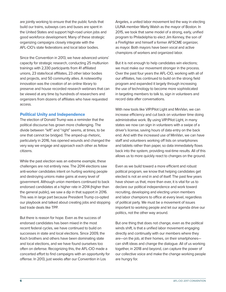are jointly working to ensure that the public funds that build our trains, subways cars and buses are spent in the United States and support high-road union jobs and good workforce development. Many of these strategic organizing campaigns closely integrate with the AFL-CIO's state federations and local labor bodies.

Since the Convention in 2013, we have advanced unions' capacity for strategic research, conducting 25 multiunion trainings with 2,330 participants from 41 affiliated unions, 23 state/local affiliates, 23 other labor bodies and projects, and 50 community allies. A noteworthy innovation was the creation of an online library to preserve and house recorded research webinars that can be viewed at any time by hundreds of researchers and organizers from dozens of affiliates who have requested access.

#### Political Unity and Independence

The election of Donald Trump was a reminder that the political discourse has grown more challenging. The divide between "left" and "right" seems, at times, to be one that cannot be bridged. The amped-up rhetoric, particularly in 2016, has opened wounds and changed the very way we engage and approach each other as fellow citizens.

While the past election was an extreme example, these challenges are not entirely new. The 2014 elections saw anti-worker candidates intent on hurting working people and destroying unions make gains at every level of government. Although union members continued to back endorsed candidates at a higher rate in 2014 (higher than the general public), we saw a dip in that support in 2016. This was in large part because President Trump co-opted our playbook and talked about creating jobs and stopping bad trade deals like TPP.

But there is reason for hope. Even as the success of endorsed candidates has been mixed in the most recent federal cycles, we have continued to build on successes in state and local elections. Since 2009, the Koch brothers and others have been dominating state and local elections, and we have found ourselves too often on defense. Recognizing this, the AFL-CIO made a concerted effort to find campaigns with an opportunity for offense. In 2013, just weeks after our Convention in Los

Angeles, a united labor movement led the way in electing LIUNA member Marty Walsh as the mayor of Boston. In 2015, we took that same model of a strong, early, unified program to Philadelphia to elect Jim Kenney, the son of a Firefighter and himself a former AFSCME organizer, as mayor. Both mayors have been vocal and active champions of workers and organized labor.

But it is not enough to help candidates win elections; we must make our movement stronger in the process. Over the past four years the AFL-CIO, working with all of our affiliates, has continued to build on the strong field program and expanded it largely through increasing the use of technology to become more sophisticated in targeting members to talk to, sign in volunteers and record data after conversations.

With new tools like VIP/Pilot Light and MiniVan, we can increase efficiency and cut back on volunteer time doing administrative work. By using VIP/Pilot Light, in many states we now can sign in volunteers with a swipe of a driver's license, saving hours of data entry on the back end. And with the increased use of MiniVan, we can have staff and volunteers working off lists on smartphones and tablets rather than paper, so data immediately flows back into the system, providing real-time results. All of this allows us to more quickly react to changes on the ground.

Even as we build toward a more efficient and robust political program, we know that helping candidates get elected is not an end in and of itself. The past few years have shown us that, more than ever, it is vital for us to declare our political independence and work toward recruiting, developing and electing union members and labor champions to office at every level, regardless of political party. We must be a movement of issues important to working people and let our agenda drive our politics, not the other way around.

But one thing that does not change, even as the political winds shift, is that a unified labor movement engaging directly and continually with our members where they are—on the job, at their homes, on their smartphones can shift ideas and change the dialogue. All of us working together, in 2018 and beyond, can capture the power of our collective voice and make the change working people are hungry for.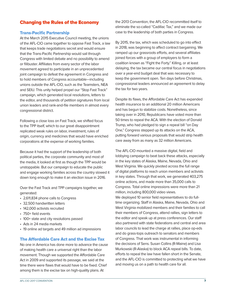# Changing the Rules of the Economy

#### Trans-Pacific Partnership

At the March 2015 Executive Council meeting, the unions of the AFL-CIO came together to oppose Fast Track, a law that keeps trade negotiations secret and would ensure that the Trans-Pacific Partnership would sail through Congress with limited debate and no possibility to amend or filibuster. Affiliates from every sector of the labor movement agreed to participate in an unprecedented joint campaign to defeat the agreement in Congress and to hold members of Congress accountable—including unions outside the AFL-CIO, such as the Teamsters, NEA and SEIU. This unity helped propel our "Stop Fast Track" campaign, which generated local resolutions, letters to the editor, and thousands of petition signatures from local union leaders and rank-and-file members in almost every congressional district.

Following a close loss on Fast Track, we shifted focus to the TPP itself, which to our great disappointment replicated weak rules on labor, investment, rules of origin, currency and medicines that would have enriched corporations at the expense of working families.

Because it had the support of the leadership of both political parties, the corporate community and most of the media, it looked at first as though the TPP would be unstoppable. But our campaign to educate the public and engage working families across the country slowed it down long enough to make it an election issue in 2016.

Over the Fast Track and TPP campaigns together, we generated:

- 2,611,834 phone calls to Congress
- 32,500 handwritten letters
- 142,000 activists recruited
- 750+ field events
- 100+ state and city resolutions passed
- Ads in 24 media markets
- 19 online ad targets and 49 million ad impressions

#### The Affordable Care Act and the Excise Tax

No one in America has done more to advance the cause of making health care a universal right than the labor movement. Though we supported the Affordable Care Act in 2009 and supported its passage, we said at the time there were flaws that would have to be fixed. Chief among them is the excise tax on high-quality plans. At

the 2013 Convention, the AFL-CIO recommitted itself to eliminate the so-called "Cadillac Tax," and we made our case to the leadership of both parties in Congress.

By 2015, the tax, which was scheduled to go into effect in 2018, was beginning to affect contract bargaining. We ramped up our grassroots efforts, and several affiliates joined forces with a group of employers to form a coalition known as "Fight the Forty." Killing, or at least delaying, the tax became our central focus in negotiations over a year-end budget deal that was necessary to keep the government open. Ten days before Christmas, congressional leaders announced an agreement to delay the tax for two years.

Despite its flaws, the Affordable Care Act has expanded health insurance to an additional 20 million Americans and has begun to stabilize costs. Nonetheless, since taking over in 2010, Republicans have voted more than 50 times to repeal the ACA. With the election of Donald Trump, who had pledged to sign a repeal bill "on Day One," Congress stepped up its attacks on the ACA, putting forward various proposals that would strip health care away from as many as 32 million Americans.

The AFL-CIO mounted a massive digital, field and lobbying campaign to beat back these attacks, especially in the key states of Alaska, Maine, Nevada, Ohio and West Virginia. We quickly pivoted across the full range of digital platforms to reach union members and activists in key states. Through that work, we generated 403,275 online actions, and made more than 35,000 calls to Congress. Total online impressions were more than 21 million, including 800,000 video views. We deployed 10 senior field representatives to do fulltime organizing. Staff in Alaska, Maine, Nevada, Ohio and West Virginia mobilized members and their families to call their members of Congress, attend rallies, sign letters to the editor and speak up at press conferences. Our staff also partnered with state federations and central and area labor councils to lead the charge at rallies, place op-eds and do grass-tops outreach to senators and members of Congress. That work was instrumental in informing the decisions of Sens. Susan Collins (R-Maine) and Lisa Murkowski (R-Alaska) to block ACA repeal bills. To date, efforts to repeal the law have fallen short in the Senate, and the AFL-CIO is committed to protecting what we have and moving us on a path to health care for all.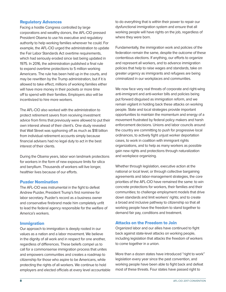#### Regulatory Advances

Facing a hostile Congress controlled by large corporations and wealthy donors, the AFL-CIO pressed President Obama to use his executive and regulatory authority to help working families wherever he could. For example, the AFL-CIO urged the administration to update the Fair Labor Standards Act overtime requirements, which had seriously eroded since last being updated in 1975. In 2016, the administration published a final rule to expand overtime protections to 5 million working Americans. The rule has been held up in the courts, and may be rewritten by the Trump administration, but if it is allowed to take effect, millions of working families either will have more money in their pockets or more time off to spend with their families. Employers also will be incentivized to hire more workers.

The AFL-CIO also worked with the administration to protect retirement savers from receiving investment advice from firms that previously were allowed to put their own interest ahead of their client's. One study revealed that Wall Street was syphoning off as much as \$18 billion from individual retirement accounts simply because financial advisers had no legal duty to act in the best interest of their clients.

During the Obama years, labor won landmark protections for workers in the form of new exposure limits for silica and beryllium. Thousands of workers will live longer, healthier lives because of our efforts.

#### Puzder Nomination

The AFL-CIO was instrumental in the fight to defeat Andrew Puzder, President Trump's first nominee for labor secretary. Puzder's record as a business owner and conservative firebrand made him completely unfit to lead the federal agency responsible for the welfare of America's workers.

#### Immigration

Our approach to immigration is deeply rooted in our values as a nation and a labor movement. We believe in the dignity of all work and in respect for one another, regardless of differences. These beliefs compel us to call for a commonsense immigration process that unites and empowers communities and creates a roadmap to citizenship for those who aspire to be Americans, while protecting the rights of all workers. We continue to hold employers and elected officials at every level accountable to do everything that is within their power to repair our dysfunctional immigration system and ensure that all working people will have rights on the job, regardless of where they were born.

Fundamentally, the immigration work and policies of the federation remain the same, despite the outcome of these contentious elections. If anything, our efforts to organize and represent all workers, and to advance immigration policies that help to raise wages and standards, take on greater urgency as immigrants and refugees are being criminalized in our workplaces and communities.

We now face very real threats of corporate and right-wing anti-immigrant and anti-worker bills and policies being put forward disguised as immigration reform, and we remain vigilant in holding back these attacks on working people. State and local strategies provide important opportunities to maintain the momentum and energy of a movement frustrated by federal policy makers and harsh enforcement decisions. Unions and labor councils around the country are committing to push for progressive local ordinances, to actively fight unjust worker deportation cases, to work in coalition with immigrant rights organizations, and to help as many workers as possible gain new rights and protections through naturalization and workplace organizing.

Whether through legislation, executive action at the national or local level, or through collective bargaining agreements and labor-management strategies, the core priorities of the AFL-CIO have remained the same: to win concrete protections for workers, their families and their communities; to challenge employment models that drive down standards and limit workers' rights; and to create a broad and inclusive pathway to citizenship so that all working people have the freedom to stand together to demand fair pay, conditions and treatment.

#### Attacks on the Freedom to Join

Organized labor and our allies have continued to fight back against state-level attacks on working people, including legislation that attacks the freedom of workers to come together in a union.

More than a dozen states have introduced "right to work" legislation every year since the past convention, and working people have been able to fight back and defeat most of these threats. Four states have passed right to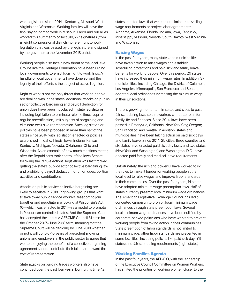work legislation since 2014—Kentucky, Missouri, West Virginia and Wisconsin. Working families will have the final say on right to work in Missouri. Labor and our allies worked this summer to collect 310,567 signatures (from all eight congressional districts) to refer right to work legislation that was passed by the legislature and signed by the governor to the November 2018 ballot.

Working people also face a new threat at the local level. Groups like the Heritage Foundation have been urging local governments to enact local right to work laws. A handful of local governments have done so, and the legality of their efforts is the subject of active litigation.

Right to work is not the only threat that working people are dealing with in the states; additional attacks on publicsector collective bargaining and payroll deduction for union dues have been introduced in state legislatures, including legislation to eliminate release time, require regular recertification, limit subjects of bargaining and eliminate exclusive representation. Such legislation or policies have been proposed in more than half of the states since 2014, with legislation enacted or policies established in Idaho, Illinois, Iowa, Indiana, Kansas, Kentucky, Michigan, Nevada, Oklahoma, Ohio and Wisconsin. As an example of how much elections matter, after the Republicans took control of the Iowa Senate following the 2016 elections, legislation was fast tracked gutting the state's public-sector collective bargaining law and prohibiting payroll deduction for union dues, political activities and contributions.

Attacks on public service collective bargaining are likely to escalate in 2018. Right-wing groups that want to take away public service workers' freedom to join together and negotiate are looking at Wisconsin's Act 10—which was enacted in 2011—as a model to promote in Republican-controlled states. And the Supreme Court has accepted the Janus v. AFSCME Council 31 case for the October 2017–June 2018 term, meaning that the Supreme Court will be deciding by June 2018 whether or not it will uphold 40 years of precedent allowing unions and employers in the public sector to agree that workers enjoying the benefits of a collective bargaining agreement should contribute their fair share toward the cost of representation.

State attacks on building trades workers also have continued over the past four years. During this time, 12 states enacted laws that weaken or eliminate prevailing wage requirements or project labor agreements: Alabama, Arkansas, Florida, Indiana, Iowa, Kentucky, Mississippi, Missouri, Nevada, South Dakota, West Virginia and Wisconsin.

#### Raising Wages

In the past four years, many states and municipalities have taken action to raise wages and establish scheduling protections and paid sick and family leave benefits for working people. Over this period, 29 states have increased their minimum wage rates. In addition, 37 municipalities, including Chicago, the District of Columbia, Los Angeles, Minneapolis, San Francisco and Seattle, adopted local ordinances increasing the minimum wage in their jurisdictions.

There is growing momentum in states and cities to pass fair scheduling laws so that workers can better plan for family life and finances. Since 2014, laws have been passed in Emeryville, California; New York City; Oregon; San Francisco; and Seattle. In addition, states and municipalities have been taking action on paid sick days and family leave. Since 2014, 25 cities, three counties and six states have enacted paid sick day laws, and two states (New York and Washington) and Washington, D.C., have enacted paid family and medical leave requirements.

Unfortunately, the rich and powerful have worked to rig the rules to make it harder for working people at the local level to raise wages and improve labor standards in their communities. Over the past four years, 14 states have adopted minimum wage preemption laws. Half of states currently preempt local minimum wage ordinances. The American Legislative Exchange Council has led a concerted campaign to prohibit local minimum wage ordinances through state preemption laws. Several local minimum wage ordinances have been nullified by corporate-backed politicians who have worked to prevent working people from taking action in their communities. State preemption of labor standards is not limited to minimum wage; other labor standards are prevented in some localities, including policies like paid sick days (19 states) and fair scheduling requirements (eight states).

# Working Families Agenda

In the past four years, the AFL-CIO, with the leadership of the Executive Council Committee on Women Workers, has shifted the priorities of working women closer to the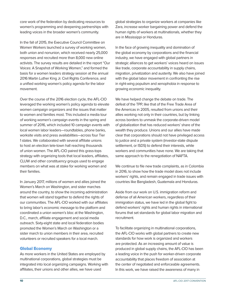core work of the federation by dedicating resources to women's programming and deepening partnerships with leading voices in the broader women's community.

In the fall of 2015, the Executive Council Committee on Women Workers launched a survey of working women, both union and nonunion, which received nearly 25,000 responses and recruited more than 8,000 new online activists. The survey results are detailed in the report "Our Voices: A Snapshot of Working Women," and formed the basis for a women leaders strategy session at the annual 2016 Martin Luther King Jr. Civil Rights Conference, and a unified working women's policy agenda for the labor movement.

Over the course of the 2016 election cycle, the AFL-CIO leveraged the working women's policy agenda to elevate women campaign organizers and the issues that matter to women and families most. This included a media tour of working women's campaign events in the spring and summer of 2016, which included 10 campaign events with local women labor leaders—roundtables, phone banks, worksite visits and press availabilities—across four Tier 1 states. We collaborated with several affiliate unions to host an election tele-town hall reaching thousands of union women. The AFL-CIO paired this grass-tops strategy with organizing tools that local leaders, affiliates, CLUW and other constituency groups used to engage members on what was at stake for working women and their families.

In January 2017, millions of women and allies joined the Women's March on Washington, and sister marches around the country, to show the incoming administration that women will stand together to defend the rights of our communities. The AFL-CIO worked with our affiliates to bring labor's economic message to the platform and coordinated a union women's bloc at the Washington, D.C., march, affiliate engagement and social media outreach. Sixty-eight state and local federation bodies promoted the Women's March on Washington or a sister march to union members in their area, recruited volunteers or recruited speakers for a local march.

#### Global Economy

As more workers in the United States are employed by multinational corporations, global strategies must be integrated into local organizing campaigns. Working with affiliates, their unions and other allies, we have used

global strategies to organize workers at companies like Zara, increase worker bargaining power and defend the human rights of workers at multinationals, whether they are in Mississippi or Honduras.

In the face of growing inequality and domination of the global economy by corporations and the financial industry, we have engaged with global partners in strategic alliances to get workers' voices heard on issues like trade, corporate accountability in supply chains, migration, privatization and austerity. We also have joined with the global labor movement in confronting the rise in right-wing populism and xenophobia in response to growing economic inequality.

We have helped change the debate on trade. The defeat of the TPP, like that of the Free Trade Area of the Americas in 2005, resulted from unions and their allies working not only in their countries, but by linking across borders to unmask the corporate-driven model of globalization that has reduced workers' share of the wealth they produce. Unions and our allies have made clear that corporations should not have privileged access to justice and a private system (investor-state dispute settlement, or ISDS) to defend their interests, while workers and communities have none. We are taking that same approach to the renegotiation of NAFTA.

We continue to file new trade complaints, as in Colombia in 2016, to show how the trade model does not include workers' rights, and remain engaged in trade issues with countries like Bangladesh, Guatemala and Honduras.

Aside from our work on U.S. immigration reform and defense of all American workers, regardless of their immigration status, we have led in the global fight to defend workers' rights and human rights in international forums that set standards for global labor migration and recruitment.

To facilitate organizing in multinational corporations, the AFL-CIO works with global partners to create new standards for how work is organized and workers are protected. As an increasing amount of value is produced in global supply chains, the AFL-CIO has been a leading voice in the push for worker-driven corporate accountability that places freedom of association at the center of negotiated and enforceable agreements. In this work, we have raised the awareness of many in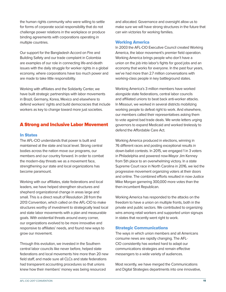the human rights community who were willing to settle for forms of corporate social responsibility that do not challenge power relations in the workplace or produce binding agreements with corporations operating in multiple countries.

Our support for the Bangladesh Accord on Fire and Building Safety and our trade complaint in Colombia are examples of our role in connecting life-and-death issues with the daily struggle for worker rights in a global economy, where corporations have too much power and are made to take little responsibility.

Working with affiliates and the Solidarity Center, we have built strategic partnerships with labor movements in Brazil, Germany, Korea, Mexico and elsewhere to defend workers' rights and build democracies that include workers as key to change toward more just societies.

# A Strong and Inclusive Labor Movement

#### In States

The AFL-CIO understands that power is built and maintained at the state and local level. Strong central bodies across the nation move our programs, our members and our country forward. In order to combat the modern-day threats we as a movement face, strengthening our state and local organizations has become paramount.

Working with our affiliates, state federations and local leaders, we have helped strengthen structures and shepherd organizational change in areas large and small. This is a direct result of Resolution 28 from the 2013 Convention, which called on the AFL-CIO to make structures worthy of investment to strategically lead local and state labor movements with a plan and measurable goals. With existential threats around every corner, our organizations evolved to be more innovative and responsive to affiliates' needs, and found new ways to grow our movement.

Through this evolution, we invested in the Southern central labor councils like never before, helped state federations and local movements hire more than 20 new field staff, and made sure all CLCs and state federations had transparent accounting procedures so that unions knew how their members' money was being resourced

and allocated. Governance and oversight allow us to make sure we will have strong structures in the future that can win victories for working families.

#### Working America

In 2003 the AFL-CIO Executive Council created Working America, the labor movement's premier field operation. Working America brings people who don't have a union on the job into labor's fights for good jobs and an economy that works for everyone. In the past four years, we've had more than 2.7 million conversations with working-class people in key battleground states.

Working America's 3 million members have worked alongside state federations, central labor councils and affiliated unions to beat back anti-worker attacks. In Missouri, we worked in several districts mobilizing working people to defeat right to work. And elsewhere, our members called their representatives asking them to vote against bad trade deals. We wrote letters urging governors to expand Medicaid and worked tirelessly to defend the Affordable Care Act.

Working America produced in elections, winning in 76 different races and posting exceptional results in down-ballot contests. In 2015, we engaged 1 in 3 voters in Philadelphia and powered now-Mayor Jim Kenney from 5th place to an overwhelming victory. In a state Supreme Court race in North Carolina in 2016, we led the progressive movement organizing voters at their doors and online. The combined efforts resulted in now-Justice Mike Morgan garnering 300,000 more votes than the then-incumbent Republican.

Working America has responded to the attacks on the freedom to have a union on multiple fronts, both in the private and public sectors. We contributed to organizing wins among retail workers and supported union signups in states that recently went right to work.

#### Strategic Communications

The ways in which union members and all Americans consume news are rapidly changing. The AFL-CIO consistently has worked hard to adapt our communications strategies and remain effective messengers to a wide variety of audiences.

Most recently, we have merged the Communications and Digital Strategies departments into one innovative,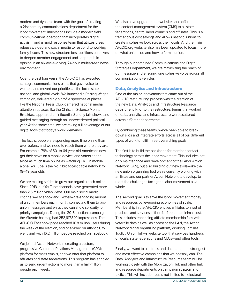modern and dynamic team, with the goal of creating a 21st century communications department for the labor movement. Innovations include a modern field communications operation that incorporates digital activism, and a rapid response team that utilizes press releases, video and social media to respond to working family issues. This new structure best positions ourselves to deepen member engagement and shape public opinion in an always-evolving, 24-hour, multiscreen news environment.

Over the past four years, the AFL-CIO has executed strategic communications plans that gave voice to workers and moved our priorities at the local, state, national and global levels. We launched a Raising Wages campaign, delivered high-profile speeches at places like the National Press Club, garnered national media attention at places like the Christian Science Monitor Breakfast, appeared on influential Sunday talk shows and guided messaging through an unprecedented political year. At the same time, we are taking full advantage of our digital tools that today's world demands.

The fact is, people are spending more time online than ever before, and we need to reach them where they are. For example, 79% of 50- to 64-year-old Americans now get their news on a mobile device, and voters spend twice as much time online as watching TV. On mobile alone, YouTube is the No. 1 broadcast cable network for 18–49 year olds.

We are making strides to grow our organic reach online. Since 2013, our YouTube channels have generated more than 2.5 million video views. Our main social media channels—Facebook and Twitter—are engaging millions of union members each month, connecting them to prounion messages and ways they can show solidarity for priority campaigns. During the 2016 elections campaign, the #1uVote hashtag had 253,617,340 impressions. The AFL-CIO Facebook page reached 10.8 million users during the week of the election, and one video on Atlantic City went viral, with 16.2 million people reached on Facebook.

We joined Action Network in creating a custom, progressive Customer Relations Management (CRM) platform for mass emails, and we offer that platform to affiliates and state federations. This program has enabled us to send urgent actions to more than a half-million people each week.

We also have upgraded our websites and offer the content management system (CMS) to all state federations, central labor councils and affiliates. This is a tremendous cost savings and allows national unions to create a cohesive look across their locals. And the main AFLCIO.org website also has been updated to focus more on what unions do and how to form a union.

Through our combined Communications and Digital Strategies department, we are maximizing the reach of our message and ensuring one cohesive voice across all communications vehicles.

### Data, Analytics and Infrastructure

One of the major innovations that came out of the AFL-CIO restructuring process was the creation of the new Data, Analytics and Infrastructure Resource department. Prior to the restructure, teams that worked on data, analytics and infrastructure were scattered across different departments.

By combining these teams, we've been able to break down silos and integrate efforts across all of our different types of work to fulfill three overarching goals.

The first is to build the backbone for member contact technology across the labor movement. This includes not only maintenance and development of the Labor Action Network (LAN), but also building out new tools—like the new union organizing tool we're currently working with affiliates and our partner Action Network to develop, to meet the challenges facing the labor movement as a whole.

The second goal is to save the labor movement money and resources by leveraging economies of scale. Membership in the AFL-CIO entitles affiliates to a set of products and services, either for free or at minimal cost. This includes enhancing affiliate membership files with voter file data as well as access to the LAN, the Action Network digital organizing platform, Working Families Toolkit, UnionHall—a website tool that services hundreds of locals, state federations and CLCs—and other tools.

Finally, we want to use tools and data to run the strongest and most effective campaigns that we possibly can. The Data, Analytics and Infrastructure Resource team will be working closely with the Mobilization Hub and other hub and resource departments on campaign strategy and tactics. This will include—but is not limited to—electoral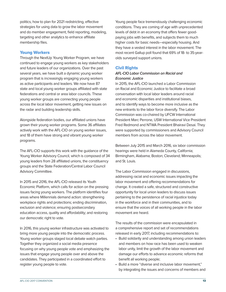politics, how to plan for 2021 redistricting, effective strategies for using data to grow the labor movement and do member engagement, field reporting, modeling, targeting and other analytics to enhance affiliate membership files.

#### Young Workers

Through the NextUp Young Worker Program, we have continued to engage young workers as key stakeholders and future leaders of our organizations. Over the past several years, we have built a dynamic young worker program that is increasingly engaging young workers as active participants and leaders. We now have 87 state and local young worker groups affiliated with state federations and central or area labor councils. These young worker groups are connecting young people across the local labor movement, getting new issues on the radar and building leadership skills.

Alongside federation bodies, our affiliated unions have grown their young worker programs. Some 36 affiliates actively work with the AFL-CIO on young worker issues, and 18 of them have strong and vibrant young worker programs.

The AFL-CIO supports this work with the guidance of the Young Worker Advisory Council, which is composed of 34 young leaders from 28 affiliated unions, the constituency groups and the State Federation/Central Labor Council Advisory Committee.

In 2015 and 2016, the AFL-CIO released its Youth Economic Platform, which calls for action on the pressing issues facing young workers. The platform identifies four areas where Millennials demand action: strengthening workplace rights and protections; ending discrimination, exclusion and violence; ensuring postsecondary education access, quality and affordability; and restoring our democratic right to vote.

In 2016, this young worker infrastructure was activated to bring more young people into the democratic process. Young worker groups staged local debate watch parties. Together they organized a social media presence focusing on why young people vote and emphasizing the issues that engage young people over and above the candidates. They participated in a coordinated effort to register young people to vote.

Young people face tremendously challenging economic conditions. They are coming of age with unprecedented levels of debt in an economy that offers fewer goodpaying jobs with benefits, and subjects them to much higher costs for basic needs—especially housing. And they have a vested interest in the labor movement. The most recent Gallup poll found that 69% of 18- to 35-yearolds surveyed support unions.

#### Civil Rights

#### **AFL-CIO Labor Commission on Racial and Economic Justice**

In 2015, the AFL-CIO launched a Labor Commission on Racial and Economic Justice to facilitate a broad conversation with local labor leaders around racial and economic disparities and institutional biases, and to identify ways to become more inclusive as the new entrants to the labor force diversify. The Labor Commission was co-chaired by UFCW International President Marc Perrone, USW International Vice President Fred Redmond and NTWA President Bhairavi Desai. They were supported by commissioners and Advisory Council members from across the labor movement.

Between July 2015 and March 2016, six labor commission hearings were held in Alameda County, California; Birmingham, Alabama; Boston; Cleveland; Minneapolis; and St. Louis.

The Labor Commission engaged in discussions, addressing racial and economic issues impacting the labor movement and offering recommendations for change. It created a safe, structured and constructive opportunity for local union leaders to discuss issues pertaining to the persistence of racial injustice today in the workforce and in their communities, and to ensure that the voices of all working people in the labor movement are heard.

The results of the commission were encapsulated in a comprehensive report and set of recommendations released in early 2017, including recommendations to:

- Build solidarity and understanding among union leaders and members on how race has been used to weaken labor unity, limit the growth of the labor movement and damage our efforts to advance economic reforms that benefit all working people;
- Build a more "diverse and inclusive labor movement," by integrating the issues and concerns of members and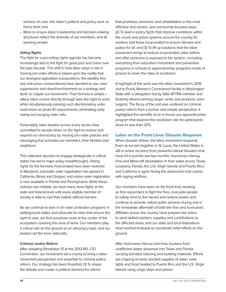workers of color into labor's political and policy work at every level; and

• Work to ensure labor's leadership and decision-making structures reflect the diversity of our members, and all working people.

#### **Voting Rights**

The fight for a pro-voting rights agenda has become increasingly tied to the fight for good jobs and union over the past decade. This shift in how labor plays a role in moving pro-voter efforts is based upon the reality that our strongest opposition (corporations, the wealthy few and anti-union conservatives) have decided to use voter suppression and disenfranchisement as a strategy and tactic to cripple our movement. Their formula is simple attack labor unions directly through laws like right to work, while simultaneously passing such discriminatory voter restrictions as photo ID requirements, eliminating early voting and purging voter rolls.

Fortunately, labor leaders across every sector have committed to double down on the fight to restore and expand our democracy by moving pro-voter policies and messaging that activates our members, their families and neighbors.

This collective decision to engage strategically in critical states has led to major policy breakthroughs. Voting rights for the formerly incarcerated have been restored in Maryland; automatic voter registration has passed in California, Illinois and Oregon; and online voter registration is now available in Florida and Pennsylvania. While these victories are notable, we have many more fights at the state and federal level until every eligible member of society is able to cast their ballots without barriers.

As we continue to lean in on voter protection programs in battleground states and advocate for laws that ensure the right to vote, we find ourselves more at the center of the ecosystem covering this area of work. Our members play a critical role on the ground as an advocacy base, and our leaders set the tone nationally.

#### **Criminal Justice Reform**

After adopting Resolution 13 at the 2013 AFL-CIO Convention, our movement set a course to bring a labor movement perspective and expertise to criminal justice reform. Our strategy has been threefold: (1) To shape the debate and create a political demand for reform

that prioritizes correction and rehabilitation in the most effective and worker- and community-focused ways; (2) To lead in policy fights that improve conditions within the courts and prison systems around the country for workers and those incarcerated to ensure fairness and justice for all; and (3) To lift up solutions that the labor movement brings to reduce incarceration rates before and after someone is exposed to the system—including everything from education investment and prevention programs in schools to apprenticeship programs inside of prisons to lower the rates of recidivism.

A highlight of this work was the labor movement's 2016 visit to Purdy Women's Correctional facility in Washington State with a delegation led by SAG-AFTRA member and Grammy Award-winning singer, writer and producer John Legend. The focus of the visit was centered on criminal justice reform from a worker and inmate perspective; it highlighted the benefits of an in-house pre-apprenticeship program that lowered the recidivism rate for participants down to less than 20%.

#### Labor on the Front Lines: Disaster Response

When disaster strikes, the labor movement responds. Even as we join together in St. Louis, the United States is still in active recovery from powerful natural disasters that have hit in just the last two months. Hurricanes Harvey, Irma and Maria left devastation in their wake across Texas, Louisiana, Florida, the U.S. Virgin Islands and Puerto Rico; and California is again facing the destruction that comes with raging wildfires.

Our members have been on the front lines working as first responders to fight the fires, evacuate people to safety, tend to the injured and restore power, and continue to provide critical public services during and in the immediate aftermath of both the fires and hurricanes. Affiliates across the country have jumped into action to send skilled workers, supplies and contributions to the affected areas, and our state and local federations have worked tirelessly to coordinate relief efforts on the ground.

After Hurricanes Harvey and Irma, truckers from unaffected states streamed into Texas and Florida carrying donated cleaning and building materials. Efforts are ongoing to keep needed supplies of water, solar lights and food headed to Puerto Rico and the U.S. Virgin Islands using cargo ships and planes.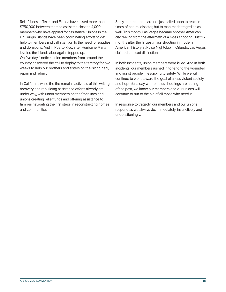Relief funds in Texas and Florida have raised more than \$750,000 between them to assist the close to 4,000 members who have applied for assistance. Unions in the U.S. Virgin Islands have been coordinating efforts to get help to members and call attention to the need for supplies and donations. And in Puerto Rico, after Hurricane Maria leveled the island, labor again stepped up. On five days' notice, union members from around the country answered the call to deploy to the territory for two weeks to help our brothers and sisters on the island heal, repair and rebuild.

In California, while the fire remains active as of this writing, recovery and rebuilding assistance efforts already are under way, with union members on the front lines and unions creating relief funds and offering assistance to families navigating the first steps in reconstructing homes and communities.

Sadly, our members are not just called upon to react in times of natural disaster, but to man-made tragedies as well. This month, Las Vegas became another American city reeling from the aftermath of a mass shooting. Just 16 months after the largest mass shooting in modern American history at Pulse Nightclub in Orlando, Las Vegas claimed that sad distinction.

In both incidents, union members were killed. And in both incidents, our members rushed in to tend to the wounded and assist people in escaping to safety. While we will continue to work toward the goal of a less violent society, and hope for a day where mass shootings are a thing of the past, we know our members and our unions will continue to run to the aid of all those who need it.

In response to tragedy, our members and our unions respond as we always do: immediately, instinctively and unquestioningly.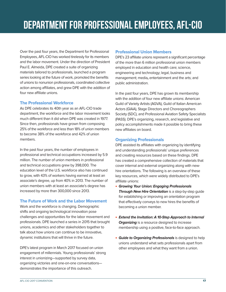Over the past four years, the Department for Professional Employees, AFL-CIO has worked tirelessly for its members and the labor movement. Under the direction of President Paul E. Almeida, DPE created a suite of organizing materials tailored to professionals, launched a program series looking at the future of work, promoted the benefits of unions to nonunion professionals, coordinated collective action among affiliates, and grew DPE with the addition of four new affiliate unions.

#### The Professional Workforce

As DPE celebrates its 40th year as an AFL-CIO trade department, the workforce and the labor movement looks much different than it did when DPE was created in 1977. Since then, professionals have grown from composing 25% of the workforce and less than 18% of union members to become 38% of the workforce and 42% of union members.

In the past four years, the number of employees in professional and technical occupations increased by 5.9 million. The number of union members in professional and technical occupations grew by 398,000. The education level of the U.S. workforce also has continued to grow, with 43% of workers having earned at least an associate's degree, up from 40% in 2013. The number of union members with at least an associate's degree has increased by more than 300,000 since 2013.

# The Future of Work and the Labor Movement

Work and the workforce is changing. Demographic shifts and ongoing technological innovation pose challenges and opportunities for the labor movement and professionals. DPE launched a series in 2015 that brought unions, academics and other stakeholders together to talk about how unions can continue to be innovative, dynamic institutions that will thrive in the future.

DPE's latest program in March 2017 focused on union engagement of millennials. Young professionals' strong interest in unionizing—supported by survey data, organizing victories and one-on-one conversations demonstrates the importance of this outreach.

# Professional Union Members

DPE's 23 affiliate unions represent a significant percentage of the more than 6 million professional union members employed in education and health care; science, engineering and technology; legal, business and management; media**,** entertainment and the arts; and public administration.

In the past four years, DPE has grown its membership with the addition of four new affiliate unions: American Guild of Variety Artists (AGVA), Guild of Italian American Actors (GIAA), Stage Directors and Choreographers Society (SDC), and Professional Aviation Safety Specialists (PASS). DPE's organizing, research, and legislative and policy accomplishments made it possible to bring these new affiliates on board.

# Organizing Professionals

DPE assisted its affiliates with organizing by identifying and understanding professionals' unique preferences and creating resources based on these findings. DPE has created a comprehensive collection of materials that cover internal and external organizing along with newhire orientations. The following is an overview of these key resources, which were widely distributed to DPE's affiliate unions:

- **Growing Your Union: Engaging Professionals Through New Hire Orientation** is a step-by-step guide for establishing or improving an orientation program that effectively conveys to new hires the benefits of becoming a union member.
- **Extend the Invitation: A 10-Step Approach to Internal Organizing** is a resource designed to increase membership using a positive, face-to-face approach.
- **Guide to Organizing Professionals** is designed to help unions understand what sets professionals apart from other employees and what they want from a union.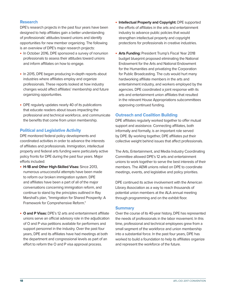#### Research

DPE's research projects in the past four years have been designed to help affiliates gain a better understanding of professionals' attitudes toward unions and identify opportunities for new member organizing. The following is an overview of DPE's major research projects:

- In October 2016, DPE sponsored a survey of nonunion professionals to assess their attitudes toward unions and inform affiliates on how to engage.
- In 2015, DPE began producing in-depth reports about industries where affiliates employ and organize professionals. These reports looked at how industry changes would affect affiliates' membership and future organizing opportunities.
- DPE regularly updates nearly 40 of its publications that educate readers about issues impacting the professional and technical workforce, and communicate the benefits that come from union membership.

#### Political and Legislative Activity

DPE monitored federal policy developments and coordinated activities in order to advance the interests of affiliates and professionals. Immigration, intellectual property and federal arts funding were particularly active policy fronts for DPE during the past four years. Major efforts included:

- **H-1B and Other High-Skilled Visas:** Since 2013, numerous unsuccessful attempts have been made to reform our broken immigration system. DPE and affiliates have been a part of all of the major conversations concerning immigration reform, and continue to stand by the principles outlined in Ray Marshall's plan, "Immigration for Shared Prosperity: A Framework for Comprehensive Reform."
- **O and P Visas:** DPE's 12 arts and entertainment affiliate unions serve an official advisory role in the adjudication of O and P visa petitions available for performers and support personnel in the industry. Over the past four years, DPE and its affiliates have had meetings at both the department and congressional levels as part of an effort to reform the O and P visa approval process.
- **Intellectual Property and Copyright:** DPE supported the efforts of affiliates in the arts and entertainment industry to advance public policies that would strengthen intellectual property and copyright protections for professionals in creative industries.
- **Arts Funding:** President Trump's Fiscal Year 2018 budget blueprint proposed eliminating the National Endowment for the Arts and National Endowment for the Humanities and privatizing the Corporation for Public Broadcasting. The cuts would hurt many hardworking affiliate members in the arts and entertainment industry, and workers employed by the agencies. DPE coordinated a joint response with its arts and entertainment union affiliates that resulted in the relevant House Appropriations subcommittees approving continued funding.

#### Outreach and Coalition Building

DPE affiliates regularly worked together to offer mutual support and assistance. Connecting affiliates, both informally and formally, is an important role served by DPE. By working together, DPE affiliates put their collective weight behind issues that affect professionals.

The Arts, Entertainment, and Media Industry Coordinating Committee allowed DPE's 12 arts and entertainment unions to work together to serve the best interests of their members. The AEMI unions relied on DPE to coordinate meetings, events, and legislative and policy priorities.

DPE continued its active involvement with the American Library Association as a way to reach thousands of potential union members at the ALA annual meeting through programming and on the exhibit floor.

#### **Summary**

Over the course of its 40-year history, DPE has represented the needs of professionals in the labor movement. In this time, professional and technical employees grew from a small segment of the workforce and union membership into a substantial force. In the past four years, DPE has worked to build a foundation to help its affiliates organize and represent the workforce of the future.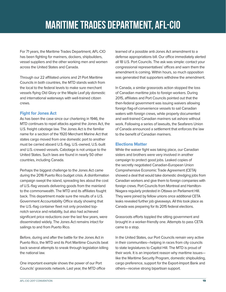For 71 years, the Maritime Trades Department, AFL-CIO has been fighting for mariners, dockers, shipbuilders, vessel suppliers and the other working men and women across the United States and Canada.

Through our 22 affiliated unions and 21 Port Maritime Councils in both countries, the MTD stands watch from the local to the federal levels to make sure merchant vessels flying Old Glory or the Maple Leaf ply domestic and international waterways with well-trained citizen crews.

# Fight for Jones Act

As has been the case since our chartering in 1946, the MTD continues to repel attacks against the Jones Act, the U.S. freight cabotage law. The Jones Act is the familiar name for a section of the 1920 Merchant Marine Act that states cargo moved from one domestic port to another must be carried aboard U.S.-flag, U.S.-owned, U.S.-built and U.S.-crewed vessels. Cabotage is not unique to the United States. Such laws are found in nearly 50 other countries, including Canada.

Perhaps the biggest challenge to the Jones Act came during the 2016 Puerto Rico budget crisis. A disinformation campaign swept the island, spreading lies about the cost of U.S.-flag vessels delivering goods from the mainland to the commonwealth. The MTD and its affiliates fought back. This department made sure the results of a U.S. Government Accountability Office study showing that the U.S.-flag container fleet not only provided topnotch service and reliability, but also had achieved significant price reductions over the last few years, were disseminated widely. The Jones Act remains intact for sailings to and from Puerto Rico.

Before, during and after the battle for the Jones Act in Puerto Rico, the MTD and its Port Maritime Councils beat back several attempts to sneak through legislation killing the national law.

One important example shows the power of our Port Councils' grassroots network. Last year, the MTD office learned of a possible anti-Jones Act amendment to a defense appropriations bill. Our office immediately alerted all 18 U.S. Port Councils. The ask was simple: contact your congressional representatives' offices and warn them the amendment is coming. Within hours, so much opposition was generated that supporters withdrew the amendment.

In Canada, a similar grassroots action stopped the loss of Canadian maritime jobs to foreign workers. During 2015, affiliates and Port Councils pointed out that the then-federal government was issuing waivers allowing foreign flag-of-convenience vessels to sail Canadian waters with foreign crews, while properly documented and well-trained Canadian mariners sat ashore without work. Following a series of lawsuits, the Seafarers Union of Canada announced a settlement that enforces the law to the benefit of Canadian mariners.

# Elections Matter

While the waiver fight was taking place, our Canadian sisters and brothers were very involved in another campaign to protect good jobs. Leaked copies of the secretly negotiated Canadian-European Union Comprehensive Economic Trade Agreement (CETA) showed a deal that would take domestic dredging jobs from Canadian workers and give them to foreign companies with foreign crews. Port Councils from Montreal and Hamilton-Niagara regularly protested in Ottawa on Parliament Hill. They were joined by fellow unions once additional CETA leaks revealed further job giveaways. All this took place as Canada was preparing for its 2015 federal elections.

Grassroots efforts toppled the sitting government and brought in a worker-friendly one. Attempts to pass CETA came to a stop.

In the United States, our Port Councils remain very active in their communities—helping in races from city councils to state legislatures to Capitol Hill. The MTD is proud of their work. It is an important reason why maritime issues like the Maritime Security Program, domestic shipbuilding, cargo preference, support for the Export-Import Bank and others—receive strong bipartisan support.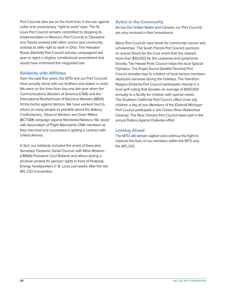Port Councils also are on the front lines in the war against unfair and unnecessary "right to work" laws. The St. Louis Port Council remains committed to stopping its implementation in Missouri. Port Councils in Cleveland and Toledo worked with other unions and community activists to stifle right to work in Ohio. The Hampton Roads (Norfolk) Port Council actively campaigned last year to reject a Virginia constitutional amendment that would have enshrined this misguided law.

#### Solidarity with Affiliates

Over the past four years, the MTD and our Port Councils have proudly stood with our brothers and sisters in need. We were on the lines from day one last year when the Communications Workers of America (CWA) and the International Brotherhood of Electrical Workers (IBEW) hit the bricks against Verizon. We have worked hard to inform as many people as possible about the Bakery, Confectionery, Tobacco Workers and Grain Millers (BCTGM) campaign against Mondelēz/Nabisco. We stood with Association of Flight Attendants-CWA members as they marched and succeeded in getting a contract with United Airlines.

In fact, our solidarity included the arrest of Executive Secretary-Treasurer Daniel Duncan with Mine Workers (UMWA) President Cecil Roberts and others during a sit-down protest for pension rights in front of Peabody Energy headquarters in St. Louis just weeks after the last AFL-CIO Convention.

#### Active in the Community

Across the United States and Canada, our Port Councils are very involved in their hometowns.

Many Port Councils raise funds for community causes and scholarships. The South Florida Port Council sponsors an annual Shoot for the Cure event that has cleared more than \$50,000 for the Leukemia and Lymphoma Society. The Hawaii Ports Council helps the local Special Olympics. The Puget Sound (Seattle/Tacoma) Port Council donates toys to children of local service members deployed overseas during the holidays. The Hamilton-Niagara (Ontario) Port Council participates heavily in a local golf outing that donates an average of \$100,000 annually to a facility for children with special needs. The Southern California Port Council offers inner city children a day at sea. Members of the (Detroit) Michigan Port Council participate in the Clinton River Watershed Cleanup. The New Orleans Port Council takes part in the annual Dollars Against Diabetes effort.

### Looking Ahead

The MTD will remain vigilant and continue the fight to improve the lives of our members within the MTD and the AFL-CIO.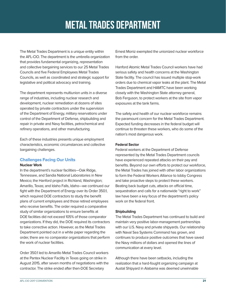# METAL TRADES DEPARTMENT

The Metal Trades Department is a unique entity within the AFL-CIO. The department is the umbrella organization that provides fundamental organizing, representation and collective bargaining services to our 25 Metal Trades Councils and five Federal Employees Metal Trades Councils, as well as coordinated and strategic support for legislative and political advocacy and training.

The department represents multiunion units in a diverse range of industries, including nuclear research and development, nuclear remediation at dozens of sites operated by private contractors under the supervision of the Department of Energy, military reservations under control of the Department of Defense, shipbuilding and repair in private and Navy facilities, petrochemical and refinery operations, and other manufacturing.

Each of these industries presents unique employment characteristics, economic circumstances and collective bargaining challenges.

#### Challenges Facing Our Units

#### **Nuclear Work**

In the department's nuclear facilities—Oak Ridge, Tennessee, and Sandia National Laboratories in New Mexico; the Hanford project in Richland, Washington; Amarillo, Texas; and Idaho Falls, Idaho—we continued our fight with the Department of Energy over its Order 350.1, which required DOE contractors to study the benefit plans of current employees and those retired employees who receive benefits. The order required a comparative study of similar organizations to ensure benefits at DOE facilities did not exceed 105% of those comparator organizations. If they did, the DOE required its contractors to take corrective action. However, as the Metal Trades Department pointed out in a white paper regarding the order, there are no comparator organizations that perform the work of nuclear facilities.

Order 350.1 led to Amarillo Metal Trades Council workers at the Pantex Nuclear Facility in Texas going on strike in August 2015, after seven months of negotiations with the contractor. The strike ended after then-DOE Secretary

Ernest Moniz exempted the unionized nuclear workforce from the order.

Hanford Atomic Metal Trades Council workers have had serious safety and health concerns at the Washington State facility. The council has issued multiple stop-work orders due to chemical vapor leaks at the plant. The Metal Trades Department and HAMTC have been working closely with the Washington State attorney general, Bob Ferguson, to protect workers at the site from vapor exposures at the tank farms.

The safety and health of our nuclear workforce remains the paramount concern for the Metal Trades Department. Expected funding decreases in the federal budget will continue to threaten these workers, who do some of the nation's most dangerous work.

#### **Federal Sector**

Federal workers at the Department of Defense represented by the Metal Trades Department councils have experienced repeated attacks on their pay and benefits. Beyond our own efforts to protect our workforce, the Metal Trades has joined with other labor organizations to form the Federal Workers Alliance to lobby Congress and take proactive steps to protect these workers. Beating back budget cuts, attacks on official time, sequestration and calls for a nationwide "right to work" law have been a key focus of the department's policy work on the federal front.

#### **Shipbuilding**

The Metal Trades Department has continued to build and maintain very positive labor-management partnerships with our U.S. Navy and private shipyards. Our relationship with Naval Sea Systems Command has grown, and continues to produce positive outcomes that have saved the Navy millions of dollars and opened the lines of communication at every level.

Although there have been setbacks, including the realization that a hard-fought organizing campaign at Austal Shipyard in Alabama was deemed unwinnable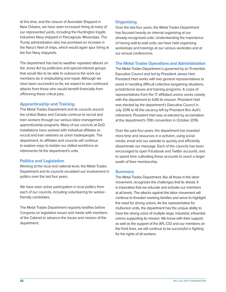at this time, and the closure of Avondale Shipyard in New Orleans, we have seen increased hiring at many of our represented yards, including the Huntington Ingalls Industries Navy shipyard in Pascagoula, Mississippi. The Trump administration also has promised an increase in the Navy's fleet of ships, which would again spur hiring at the five Navy shipyards.

The department has had to weather repeated attacks on the Jones Act by politicians and special-interest groups that would like to be able to outsource the work our members do in shipbuilding and repair. Although we have been successful so far, we expect to see continued attacks from those who would benefit financially from offshoring these critical jobs.

#### Apprenticeship and Training

The Metal Trades Department and its councils around the United States and Canada continue to recruit and train workers through our various labor-management apprenticeship programs. Many of our councils at DoD installations have worked with individual affiliates to recruit and train veterans as union tradespeople. The department, its affiliates and councils will continue to explore ways to bolster our skilled workforce as retirements hit the department's units.

# Politics and Legislation

Working at the local and national level, the Metal Trades Department and its councils escalated our involvement in politics over the last four years.

We have seen active participation in local politics from each of our councils, including volunteering for workerfriendly candidates.

The Metal Trades Department regularly testifies before Congress on legislative issues and meets with members of the Cabinet to advance the issues and mission of the department.

# **Organizing**

Over the last four years, the Metal Trades Department has focused heavily on internal organizing at our already-recognized units. Understanding the importance of having wall-to-wall units, we have held organizing workshops and trainings at our various worksites and at our annual conferences.

#### The Metal Trades Operations and Administration

The Metal Trades Department is governed by an 11-member Executive Council and led by President James Hart. President Hart works with two general representatives to assist in handling difficult collective bargaining situations, jurisdictional issues and training programs. A corps of representatives from the 17 affiliated unions works closely with the department to fulfill its mission. President Hart was elected by the department's Executive Council in July 2016 to fill the vacancy left by President Ron Ault's retirement. President Hart was re-elected by acclamation at the department's 70th convention in October 2016.

Over the past four years, the department has invested more time and resources in e-activism, using social media, email and our website to quickly and efficiently disseminate our message. Each of the councils has been encouraged to open Facebook and Twitter accounts, and to spend time cultivating these accounts to reach a larger swath of their membership.

#### **Summary**

The Metal Trades Department, like all those in the labor movement, recognizes the challenges that lie ahead. It is imperative that we educate and activate our members at all levels. The attacks against the labor movement will continue to threaten working families and serve to highlight the need for strong unions. As the representative for multiunion units, the department has the unique ability to have the strong voice of multiple large, industrial, influential unions supporting its mission. We know with their support, as well as the support of the AFL-CIO and our members on the front lines, we will continue to be successful in fighting for the rights of all workers.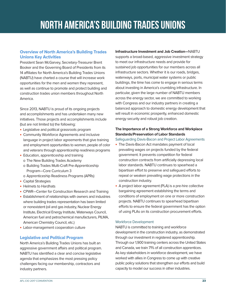# Overview of North America's Building Trades Unions Key Activities

President Sean McGarvey, Secretary-Treasurer Brent Booker and the Governing Board of Presidents from its 14 affiliates for North America's Building Trades Unions (NABTU) have charted a course that will increase work opportunities for the men and women they represent, as well as continue to promote and protect building and construction trades union members throughout North America.

Since 2013, NABTU is proud of its ongoing projects and accomplishments and has undertaken many new initiatives. Those projects and accomplishments include (but are not limited to) the following:

- Legislative and political grassroots program
- Community Workforce Agreements and inclusive language in project labor agreements that give training and employment opportunities to women, people of color and veterans through apprenticeship readiness programs
- Education, apprenticeship and training o The New Building Trades Academy
	- o Building Trades Multi-Craft Pre-Apprenticeship Program—Core Curriculum 3
- o Apprenticeship Readiness Programs (APRs)
- Capital Strategies
- Helmets to Hardhats
- CPWR—Center for Construction Research and Training
- Establishment of relationships with owners and industries where building trades representation has been limited or nonexistent (oil and gas industry, Nuclear Energy Institute, Electrical Energy Institute, Waterways Council, American fuel and petrochemical manufacturers, PILMA, American Chemistry Council, etc.)
- Labor-management cooperation culture

#### Legislative and Political Program

North America's Building Trades Unions has built an aggressive government affairs and political program. NABTU has identified a clear and concise legislative agenda that emphasizes the most pressing policy challenges facing our membership, contractors and industry partners.

**Infrastructure Investment and Job Creation—**NABTU

supports a broad-based, aggressive investment strategy to meet our infrastructure needs and provide for sustained job opportunities for our members across all infrastructure sectors. Whether it is our roads, bridges, waterways, ports, municipal water systems or public buildings, the time has come to engage in serious terms about investing in America's crumbling infrastructure. In particular, given the large number of NABTU members across the energy sector, we are committed to working with Congress and our industry partners in creating a balanced approach to domestic energy development that will result in economic prosperity, enhanced domestic energy security and robust job creation.

#### **The Importance of a Strong Workforce and Workplace Standards/Preservation of Labor Standards**

Safeguarding Davis-Bacon and Project Labor Agreements

- The Davis-Bacon Act mandates payment of local prevailing wages on projects funded by the federal government. It prevents competition for federal construction contracts from artificially depressing local labor standards. NABTU continues to spearhead a bipartisan effort to preserve and safeguard efforts to repeal or weaken prevailing wage protections in the construction industry.
- A project labor agreement (PLA) is a pre-hire collective bargaining agreement establishing the terms and conditions of employment on one or more construction projects. NABTU continues to spearhead bipartisan efforts to ensure the federal government has the option of using PLAs on its construction procurement efforts.

#### Workforce Development

NABTU is committed to training and workforce development in the construction industry, as demonstrated through our investment in registered apprenticeship. Through our 1,900 training centers across the United States and Canada, we train 71% of all construction apprentices. As key stakeholders in workforce development, we have worked with allies in Congress to come up with creative public policy solutions that strengthen our efforts and build capacity to model our success in other industries.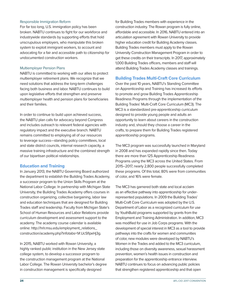#### Responsible Immigration Reform

For far too long, U.S. immigration policy has been broken. NABTU continues to fight for our workforce and industrywide standards by supporting efforts that hold unscrupulous employers, who manipulate this broken system to exploit immigrant workers, to account and advocating for a fair and accessible path to citizenship for undocumented construction workers.

#### Multiemployer Pension Plans

NABTU is committed to working with our allies to protect multiemployer retirement plans. We recognize that we need solutions that address the long-term challenges facing both business and labor. NABTU continues to build upon legislative efforts that strengthen and preserve multiemployer health and pension plans for beneficiaries and their families.

In order to continue to build upon achieved success, the NABTU plan calls for advocacy beyond Congress and includes outreach to relevant federal agencies with regulatory impact and the executive branch. NABTU remains committed to employing all of our resources to leverage success—standing policy committees, local and state district councils, internal research capacity, a massive training infrastructure and the combined strength of our bipartisan political relationships.

#### Education and Training

In January 2013, the NABTU Governing Board authorized the department to establish the Building Trades Academy, a successor program to the Union Skills Program at the National Labor College. In partnership with Michigan State University, the Building Trades Academy offers courses in construction organizing, collective bargaining, labor law and education techniques that are designed for Building Trades staff and leadership. Faculty from Michigan State's School of Human Resources and Labor Relations provide curriculum development and assessment support to the academy. The academy course calendar is available online: http://hrlr.msu.edu/employment\_relations\_ construction/academy.php?infotabs=1#.UcSflpxHj3g.

In 2015, NABTU worked with Rowan University, a highly ranked public institution in the New Jersey state college system, to develop a successor program to the construction management program at the National Labor College. The Rowan University bachelor's degree in construction management is specifically designed

for Building Trades members with experience in the construction industry. The Rowan program is fully online, affordable and accessible. In 2016, NABTU entered into an articulation agreement with Rowan University to provide higher education credit for Building Academy classes. Building Trades members must apply to the Rowan University Construction Management Program in order to get these credits on their transcripts. In 2017, approximately 1,000 Building Trades officers, members and staff will attend Building Trades Academy classes and trainings.

### Building Trades Multi-Craft Core Curriculum

Over the past 10 years, NABTU's Standing Committee on Apprenticeship and Training has increased its efforts to promote and grow Building Trades Apprenticeship Readiness Programs through the implementation of the Building Trades' Multi-Craft Core Curriculum (MC3). The MC3 is a standardized pre-apprenticeship curriculum designed to provide young people and adults an opportunity to learn about careers in the construction industry and, should they choose a career in the crafts, to prepare them for Building Trades registered apprenticeship programs.

The MC3 program was successfully launched in Maryland in 2008 and has expanded rapidly since then. Today there are more than 125 Apprenticeship Readiness Programs using the MC3 across the United States. From 2015–2017, nearly 2,800 people successfully completed these programs. Of this total, 80% were from communities of color, and 16% were female.

The MC3 has garnered both state and local acclaim as an effective pathway into apprenticeship for underrepresented populations. In 2009 the Building Trades' Multi-Craft Core Curriculum was adopted by the U.S. Department of Labor as a recognized curriculum for use by YouthBuild programs supported by grants from the Employment and Training Administration. In addition, MC3 was modified for use in Job Corps programs. With the development of special interest in MC3 as a tool to provide pathways into the crafts for women and communities of color, new modules were developed by NABTU's Women in the Trades and added to the MC3 curriculum, including those on diversity awareness, sexual harassment prevention, women's health issues in construction and preparation for the apprenticeship entrance interview. NABTU continues to focus on advancing public policies that strengthen registered apprenticeship and that open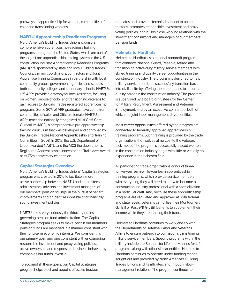pathways to apprenticeship for women, communities of color and transitioning veterans.

#### NABTU Apprenticeship Readiness Programs

North America's Building Trades Unions sponsors comprehensive apprenticeship-readiness training programs throughout the United States, which are part of the largest pre-apprenticeship training system in the U.S. construction industry. Apprenticeship Readiness Programs (ARPs) are sponsored by state and local Building Trades Councils, training coordinators, contractors and Joint Apprentice Training Committees in partnership with local community groups, government agencies and schools both community colleges and secondary schools. NABTU's 125 ARPs provide a gateway for local residents, focusing on women, people of color and transitioning veterans to gain access to Building Trades registered apprenticeship programs. Some 80% of ARP graduates have come from communities of color, and 25% are female. NABTU's ARPs teach the nationally recognized Multi-Craft Core Curriculum (MC3), a comprehensive pre-apprenticeship training curriculum that was developed and approved by the Building Trades National Apprenticeship and Training Committee in 2008. In 2012, the U.S. Department of Labor awarded NABTU and the MC3 the department's Registered Apprenticeship Innovator and Trailblazer Award at its 75th anniversary celebration.

#### Capital Strategies Overview

North America's Building Trades Unions' Capital Strategies program was created in 2016 to facilitate a more active partnership between NABTU and the trustees, administrators, advisers and investment managers of our members' pension savings, in the pursuit of benefit improvements and prudent, responsible and financially sound investment policies.

NABTU takes very seriously the fiduciary duties governing pension fund administration. The Capital Strategies program seeks to make certain our members' pension funds are managed in a manner consistent with their long-term economic interests. We consider this our primary goal, and one consistent with encouraging responsible investment and proxy voting policies, active ownership and responsible business behavior by companies our funds invest in.

To accomplish these goals, our Capital Strategies program helps elect and appoint effective trustees, educates and provides technical support to union trustees, promotes responsible investment and proxy voting policies, and builds close working relations with the investment consultants and managers of our members' pension funds.

#### Helmets to Hardhats

Helmets to Hardhats is a national nonprofit program that connects National Guard, Reserve, retired and transitioning active-duty military service members with skilled training and quality career opportunities in the construction industry. The program is designed to help military service members successfully transition back into civilian life by offering them the means to secure a quality career in the construction industry. The program is supervised by a board of trustees for the Center for Military Recruitment, Assessment and Veterans Employment, and by an executive committee, both of which are joint labor-management driven entities.

Most career opportunities offered by the program are connected to federally approved apprenticeship training programs. Such training is provided by the trade organizations themselves at no cost to the veteran. In fact, most of the program's successfully placed workers in the construction industry begin with little or virtually no experience in their chosen field.

All participating trade organizations conduct threeto five-year earn-while-you-learn apprenticeship training programs, which provide service members with everything they will need to know to become a construction industry professional with a specialization in a particular craft. And, because these apprenticeship programs are regulated and approved at both federal and state levels, veterans can utilize their Montgomery G.I. Bill or Post 9/11 G.I. Bill benefits to supplement their income while they are learning their trade.

Helmets to Hardhats continues to work closely with the Departments of Defense, Labor and Veterans Affairs to ensure outreach to our nation's transitioning military service members. Specific programs within the military include the Soldiers for Life and Marines for Life programs, along with other similar entities. Helmets to Hardhats continues to operate under funding means sought out and provided by North America's Building Trades Unions and its affiliates, and through labormanagement relations. The program continues to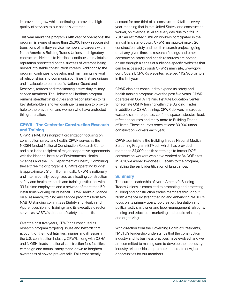improve and grow while continuing to provide a high quality of services to our nation's veterans.

This year marks the program's 14th year of operations; the program is aware of more than 25,000 known successful transitions of military service members to careers within North America's Building Trades Unions and signatory contractors. Helmets to Hardhats continues to maintain a reputation predicated on the success of veterans being helped into stable construction careers. Additionally, the program continues to develop and maintain its network of relationships and communication lines that are unique and invaluable to our nation's National Guard and Reserves, retirees and transitioning active-duty military service members. The Helmets to Hardhats program remains steadfast in its duties and responsibilities to its key stakeholders and will continue its mission to provide help to the brave men and women who have protected this great nation.

### CPWR—The Center for Construction Research and Training

CPWR is NABTU's nonprofit organization focusing on construction safety and health. CPWR serves as the NIOSH-funded National Construction Research Center, and also is the recipient of major cooperative agreements with the National Institute of Environmental Health Sciences and the U.S. Department of Energy. Combining these three major programs, CPWR's operating budget is approximately \$15 million annually. CPWR is nationally and internationally recognized as a leading construction safety and health research and training institution, with 33 full-time employees and a network of more than 50 institutions working on its behalf. CPWR seeks guidance on all research, training and service programs from two NABTU standing committees (Safety and Health and Apprenticeship and Training), and its executive director serves as NABTU's director of safety and health.

Over the past five years, CPWR has continued its research program targeting issues and hazards that account for the most fatalities, injuries and illnesses in the U.S. construction industry. CPWR, along with OSHA and NIOSH, leads a national construction falls fatalities campaign and annual safety stand-down to heighten awareness of how to prevent falls. Falls consistently

account for one-third of all construction fatalities every year, meaning that in the United States, one construction worker, on average, is killed every day due to a fall. In 2017, an estimated 5 million workers participated in the annual falls stand-down. CPWR has approximately 20 construction safety and health research projects going on at any given time. Its research findings and other construction safety and health resources are posted online through a series of audience-specific websites that can be accessed through CPWR's main site, www.cpwr. com. Overall, CPWR's websites received 1,112,905 visitors in the last year.

CPWR also has continued to expand its safety and health training programs over the past five years. CPWR operates an OSHA Training Institute Education Center to facilitate OSHA training within the Building Trades. In addition to OSHA training, CPWR delivers hazardous waste, disaster response, confined space, asbestos, lead, refresher courses and many more to Building Trades affiliates. These courses reach at least 80,000 union construction workers each year.

CPWR administers the Building Trades National Medical Screening Program (BTMed), which has provided more than 34,000 health screenings to former DOE construction workers who have worked at 34 DOE sites. In 2011, we added low-dose CT scans to the program, enabling the early identification of lung cancer.

#### **Summary**

The current leadership of North America's Building Trades Unions is committed to promoting and protecting building and construction trades members throughout North America by strengthening and enhancing NABTU's focus on its primary goals: job creation, legislation and political activism, owner and labor-management relations, training and education, marketing and public relations, and organizing.

With direction from the Governing Board of Presidents, NABTU's leadership understands that the construction industry and its business practices have evolved, and we are committed to making sure to develop the necessary industry relationships to promote and create new job opportunities for our members.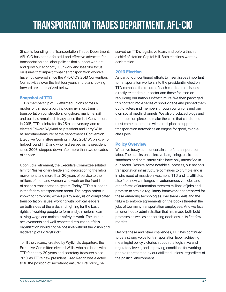Since its founding, the Transportation Trades Department, AFL-CIO has been a forceful and effective advocate for transportation and labor policies that support workers and grow our economy. Our work and laserlike focus on issues that impact front-line transportation workers have not wavered since the AFL-CIO's 2013 Convention. Our activities over the last four years and plans looking forward are summarized below.

### Snapshot of TTD

TTD's membership of 32 affiliated unions across all modes of transportation, including aviation, transit, transportation construction, longshore, maritime, rail and bus has remained steady since the last Convention. In 2015, TTD celebrated its 25th anniversary, and reelected Edward Wytkind as president and Larry Willis as secretary-treasurer at the department's Convention Executive Committee meeting. In July 2017 Wytkind, who helped found TTD and who had served as its president since 2003, stepped down after more than two decades of service.

Upon Ed's retirement, the Executive Committee saluted him for "his visionary leadership, dedication to the labor movement, and more than 20 years of service to the millions of men and women who work on the front line of nation's transportation system. Today, TTD is a leader in the federal transportation arena. The organization is known for providing expert policy analysis on complicated transportation issues, working with political leaders on both sides of the aisle, and fighting for the basic rights of working people to form and join unions, earn a living wage and maintain safety at work. The unique achievements and well-respected reputation of this organization would not be possible without the vision and leadership of Ed Wytkind."

To fill the vacancy created by Wytkind's departure, the Executive Committee elected Willis, who has been with TTD for nearly 20 years and secretary-treasurer since 2010, as TTD's new president. Greg Regan was elected to fill the position of secretary-treasurer. Previously, he

served on TTD's legislative team, and before that as a chief of staff on Capitol Hill. Both elections were by acclamation.

# 2016 Election

As part of our continued efforts to insert issues important to transportation workers into the presidential election, TTD compiled the record of each candidate on issues directly related to our sector and those focused on rebuilding our nation's infrastructure. We then packaged this content into a series of short videos and pushed them out to voters and members through our unions and our own social media channels. We also produced blogs and other opinion pieces to make the case that candidates must come to the table with a real plan to support our transportation network as an engine for good, middleclass jobs.

# Policy Overview

We arrive today at an uncertain time for transportation labor. The attacks on collective bargaining, basic labor standards and core safety rules have only intensified in our sector. Despite some notable successes, our nation's transportation infrastructure continues to crumble and is in dire need of massive investment. TTD and its affiliates also face new challenges as autonomous vehicles and other forms of automation threaten millions of jobs and promise to strain a regulatory framework not prepared for these emerging technologies. Bad trade deals and the failure to enforce agreements on the books threaten the jobs of too many transportation employees. And we face an unorthodox administration that has made both bold promises as well as concerning decisions in its first few months.

Despite these and other challenges, TTD has continued to be a strong voice for transportation labor, achieving meaningful policy victories at both the legislative and regulatory levels, and improving conditions for working people represented by our affiliated unions, regardless of the political environment.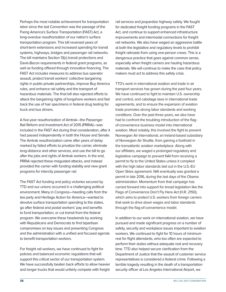Perhaps the most notable achievement for transportation labor since the last Convention was the passage of the Fixing America's Surface Transportation (FAST) Act, a long-overdue reauthorization of our nation's surface transportation program. This bill reversed years of short-term extensions and increased spending for transit systems, highways, bridges and passenger rail networks. The bill maintains Section 13(c) transit protections and Davis-Bacon requirements in federal grant programs, as well as funding offered through innovative financing. The FAST Act includes measures to address bus operator assault, protect transit workers' collective bargaining rights in public-private partnerships, improve Buy America rules, and enhance rail safety and the transport of hazardous materials. The final bill also rejected efforts to attack the bargaining rights of longshore workers and fast track the use of hair specimens in federal drug testing for truck and bus drivers.

A five-year reauthorization of Amtrak—the Passenger Rail Reform and Investment Act of 2015 (PRRIA)—was included in the FAST Act during final consideration, after it had passed independently in both the House and Senate. The Amtrak reauthorization came after years of delay marked by failed efforts to privatize the carrier, eliminate long-distance and other services, and use the bill to go after the jobs and rights of Amtrak workers. In the end, PRRIA rejected these misguided attacks, and instead provided the carrier with funding stability and new grant programs for intercity passenger rail.

The FAST Act funding and policy victories secured by TTD and our unions occurred in a challenging political environment. Many in Congress—heeding calls from the tea party and Heritage Action for America—wanted to devolve surface transportation spending to the states, go after federal and postal workers' pay and benefits to fund transportation, or cut transit from the federal program. We overcame these headwinds by working with Republicans and Democrats to find bipartisan compromises on key issues and presenting Congress and the administration with a unified and focused agenda to benefit transportation workers.

For freight rail workers, we have continued to fight for policies and balanced economic regulations that will support this critical sector of our transportation system. We have successfully beaten back efforts to allow heavier and longer trucks that would unfairly compete with freight

rail services and jeopardize highway safety. We fought for dedicated freight funding programs in the FAST Act, and continue to support enhanced infrastructure improvements and intermodal connections for freight rail networks. We also have waged an aggressive battle at both the legislative and regulatory levels to prohibit freight railroads from using one-person crews. This is a dangerous practice that goes against common sense, especially when freight carriers are hauling hazardous materials. We will continue to make the case that policy makers must act to address this safety crisis.

TTD's work in international aviation and trade in air transport services has grown during the past four years. We have continued to fight to maintain U.S. ownership and control, and cabotage laws in international trade agreements, and to ensure the expansion of aviation trade promotes strong labor standards and working conditions. Over the past three years, we also have had to confront the troubling introduction of the flagof-convenience business model into international aviation. Most notably, this involved the fight to prevent Norwegian Air International, an Ireland-based subsidiary of Norwegian Air Shuttle, from gaining a foothold in the transatlantic aviation marketplace. Along with our affiliates, we waged a prolonged regulatory and legislative campaign to prevent NAI from receiving a permit to fly to the United States unless it complied with the high labor standards laid out in the U.S.-EU Open Skies agreement. NAI eventually was granted a permit in late 2016, during the last days of the Obama administration. Momentum from that campaign has carried forward into support for broad legislation like the Flags of Convenience Don't Fly Here Act (H.R. 2150), which aims to protect U.S. workers from foreign carriers that seek to drive down wages and labor standards through the flag-of-convenience model.

In addition to our work on international aviation, we have pursued and made significant progress on a number of safety, security and workplace issues important to aviation workers. We continued to fight for 10 hours of minimum rest for flight attendants, who too often are expected to perform their duties without adequate rest and recovery time. TTD also helped secure clarification from the Department of Justice that the assault of customer service representatives is considered a federal crime. Following a terrible tragedy resulting in the death of a transportation security officer at Los Angeles International Airport, we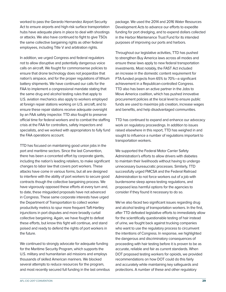worked to pass the Gerardo Hernandez Airport Security Act to ensure airports and high-risk surface transportation hubs have adequate plans in place to deal with shootings or attacks. We also have continued to fight to give TSOs the same collective bargaining rights as other federal employees, including Title V and arbitration rights.

In addition, we urged Congress and federal regulators not to allow disruptive and potentially dangerous voice calls on aircraft. We fought for commonsense policies to ensure that drone technology does not jeopardize that nation's airspace, and for the proper regulations of lithium battery shipments. We have continued our calls for the FAA to implement a congressional mandate stating that the same drug and alcohol testing rules that apply to U.S. aviation mechanics also apply to workers employed at foreign repair stations working on U.S. aircraft, and to ensure these repair stations receive adequate oversight by an FAA safety inspector. TTD also fought to preserve official time for federal workers and to combat the staffing crisis at the FAA for controllers, safety inspectors and specialists, and we worked with appropriators to fully fund the FAA operations account.

TTD has focused on maintaining good union jobs in the port and maritime sectors. Since the last Convention, there has been a concerted effort by corporate giants, including the nation's leading retailers, to make significant changes to labor law that covers port workers. These attacks have come in various forms, but all are designed to interfere with the ability of port workers to secure good contracts though the collective bargaining process. We have vigorously opposed these efforts at every turn and, to date, these misguided proposals have not advanced in Congress. These same corporate interests have urged the Department of Transportation to collect worker productivity metrics to spur more frequent Taft-Hartley injunctions in port disputes and more broadly curtail collective bargaining. Again, we have fought to defeat these efforts, but know this fight will continue, and stand poised and ready to defend the rights of port workers in the future.

We continued to strongly advocate for adequate funding for the Maritime Security Program, which supports the U.S. military and humanitarian aid missions and employs thousands of skilled American mariners. We blocked several attempts to reduce resources for the program, and most recently secured full funding in the last omnibus package. We used the 2014 and 2016 Water Resources Development Acts to advance our efforts to expedite funding for port dredging, and to expend dollars collected in the Harbor Maintenance Trust Fund for its intended purposes of improving our ports and harbors.

Throughout our legislative activities, TTD has pushed to strengthen Buy America laws across all modes and ensure these laws apply to new federal transportation investments. Most notably, the FAST Act included an increase in the domestic content requirement for FTA-funded projects from 65% to 70%—a significant achievement in a Republican-controlled Congress. TTD also has been an active partner in the Jobs to Move America coalition, which has pushed innovative procurement policies at the local level to ensure public funds are used to maximize job creation, increase wages and benefits, and help disadvantaged communities.

TTD has continued to expand and enhance our advocacy work on regulatory proceedings. In addition to issues raised elsewhere in this report, TTD has weighed in and sought to influence a number of regulations important to transportation workers.

We supported the Federal Motor Carrier Safety Administration's efforts to allow drivers with diabetes to maintain their livelihoods without having to undergo unnecessary bureaucratic processes. Similarly, TTD successfully urged FMCSA and the Federal Railroad Administration to not force workers out of a job with burdensome sleep apnea testing regulations, and proposed less harmful options for the agencies to consider if they found it necessary to do so.

We've also faced two significant issues regarding drug and alcohol testing of transportation workers. In the first, after TTD defeated legislative efforts to immediately allow for the scientifically questionable testing of hair instead of urine, we fought back against trucking companies who want to use the regulatory process to circumvent the intentions of Congress. In response, we highlighted the dangerous and discriminatory consequences of proceeding with hair testing before it is proven to be as accurate, reliable and fair as current standards. When DOT proposed testing workers for opioids, we provided recommendations on how DOT could do this fairly and accurately while maintaining key safeguards and protections. A number of these and other regulatory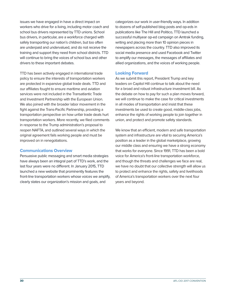issues we have engaged in have a direct impact on workers who drive for a living, including motor coach and school bus drivers represented by TTD unions. School bus drivers, in particular, are a workforce charged with safely transporting our nation's children, but too often are underpaid and undervalued, and do not receive the training and support they need from school districts. TTD will continue to bring the voices of school bus and other drivers to these important debates.

TTD has been actively engaged in international trade policy to ensure the interests of transportation workers are protected in expansive global trade deals. TTD and our affiliates fought to ensure maritime and aviation services were not included in the Transatlantic Trade and Investment Partnership with the European Union. We also joined with the broader labor movement in the fight against the Trans-Pacific Partnership, providing a transportation perspective on how unfair trade deals hurt transportation workers. More recently, we filed comments in response to the Trump administration's proposal to reopen NAFTA, and outlined several ways in which the original agreement fails working people and must be improved on in renegotiations.

#### Communications Overview

Persuasive public messaging and smart media strategies have always been an integral part of TTD's work, and the last four years were no different. In January 2015, TTD launched a new website that prominently features the front-line transportation workers whose voices we amplify, clearly states our organization's mission and goals, and

categorizes our work in user-friendly ways. In addition to dozens of self-published blog posts and op-eds in publications like The Hill and Politico, TTD launched a successful multiyear op-ed campaign on Amtrak funding, writing and placing more than 10 opinion pieces in newspapers across the country. TTD also improved its social media presence and used Facebook and Twitter to amplify our messages, the messages of affiliates and allied organizations, and the voices of working people.

### Looking Forward

As we submit this report, President Trump and key leaders on Capitol Hill continue to talk about the need for a broad and robust infrastructure investment bill. As the debate on how to pay for such a plan moves forward, we will continue to make the case for critical investments in all modes of transportation and insist that these investments be used to create good, middle-class jobs, enhance the rights of working people to join together in union, and protect and promote safety standards.

We know that an efficient, modern and safe transportation system and infrastructure are vital to securing America's position as a leader in the global marketplace, growing our middle class and ensuring we have a strong economy that works for everyone. Since 1991, TTD has been a bold voice for America's front-line transportation workforce, and though the threats and challenges we face are real, we have no doubt that our collective strength will allow us to protect and enhance the rights, safety and livelihoods of America's transportation workers over the next four years and beyond.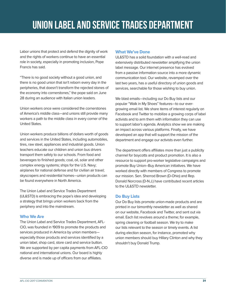# UNION LABEL AND SERVICE TRADES DEPARTMENT

Labor unions that protect and defend the dignity of work and the rights of workers continue to have an essential role in society, especially in promoting inclusion, Pope Francis has said.

"There is no good society without a good union, and there is no good union that isn't reborn every day in the peripheries, that doesn't transform the rejected stones of the economy into cornerstones," the pope said on June 28 during an audience with Italian union leaders.

Union workers once were considered the cornerstones of America's middle class—and unions still provide many workers a path to the middle class in every corner of the United States.

Union workers produce billions of dollars worth of goods and services in the United States, including automobiles, tires, raw steel, appliances and industrial goods. Union teachers educate our children and union bus drivers transport them safely to our schools. From food and beverages to finished goods; coal, oil, solar and other complex energy systems; ships for the U.S. Navy; airplanes for national defense and for civilian air travel; skyscrapers and residential homes—union products can be found everywhere in North America.

The Union Label and Service Trades Department (UL&STD) is embracing the pope's idea and developing a strategy that brings union workers back from the periphery and into the mainstream.

#### Who We Are

The Union Label and Service Trades Department, AFL-CIO, was founded in 1909 to promote the products and services produced in America by union members especially those products and services identified by a union label, shop card, store card and service button. We are supported by per capita payments from AFL-CIO national and international unions. Our board is highly diverse and is made up of officers from our affiliates.

#### What We've Done

UL&STD has a solid foundation with a well-read and extensively distributed newsletter amplifying the union label message. Our internet presence has evolved from a passive information source into a more dynamic communication tool. Our website, revamped over the last two years, has a useful directory of union goods and services, searchable for those wishing to buy union.

We blast emails—including our Do Buy lists and our popular "Walk in My Shoes" features—to our evergrowing email list. We share items of interest regularly on Facebook and Twitter to mobilize a growing corps of label activists and to arm them with information they can use to support labor's agenda. Analytics show we are making an impact across various platforms. Finally, we have developed an app that will support the mission of the department and engage our activists even further.

The department offers affiliates more than just a publicity channel for boycotts and product promotion. It is also a resource to support pro-worker legislative campaigns and promote Buy Union–Buy American initiatives. We have worked directly with members of Congress to promote our mission. Sen. Sherrod Brown (D-Ohio) and Rep. Donald Norcross (D-N.J.) have contributed recent articles to the UL&STD newsletter.

#### Do Buy Lists

Our Do Buy lists promote union-made products and are printed in our bimonthly newsletter as well as shared on our website, Facebook and Twitter, and sent out via email. Each list revolves around a theme; for example, spring cleaning or football season. We try to make our lists relevant to the season or timely events. A list during election season, for instance, promoted why union members should buy Hillary Clinton and why they shouldn't buy Donald Trump.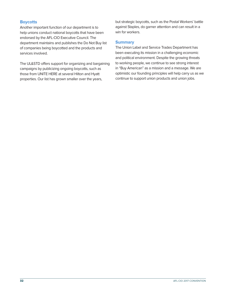### **Boycotts**

Another important function of our department is to help unions conduct national boycotts that have been endorsed by the AFL-CIO Executive Council. The department maintains and publishes the Do Not Buy list of companies being boycotted and the products and services involved.

The UL&STD offers support for organizing and bargaining campaigns by publicizing ongoing boycotts, such as those from UNITE HERE at several Hilton and Hyatt properties. Our list has grown smaller over the years,

but strategic boycotts, such as the Postal Workers' battle against Staples, do garner attention and can result in a win for workers.

#### **Summary**

The Union Label and Service Trades Department has been executing its mission in a challenging economic and political environment. Despite the growing threats to working people, we continue to see strong interest in "Buy American" as a mission and a message. We are optimistic our founding principles will help carry us as we continue to support union products and union jobs.